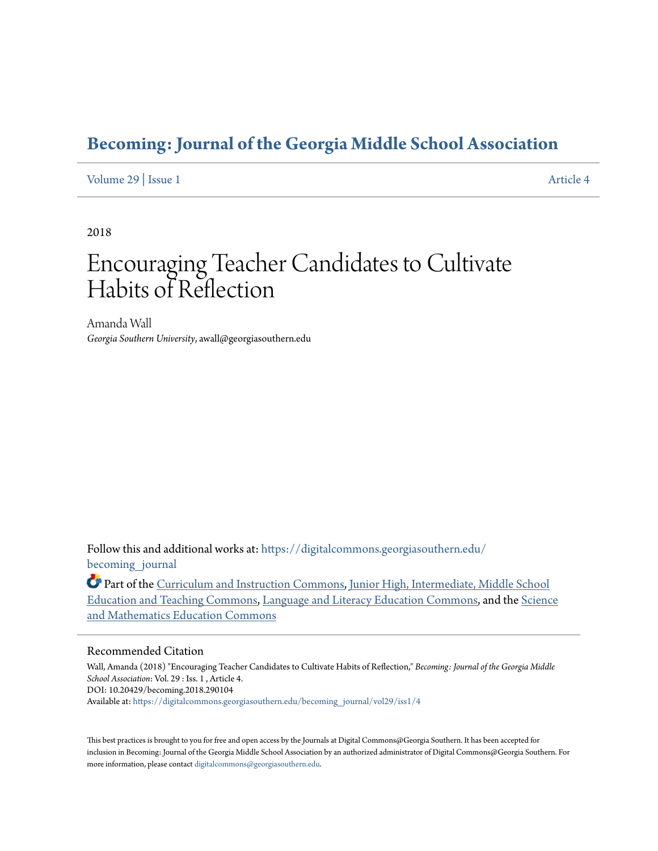# **[Becoming: Journal of the Georgia Middle School Association](https://digitalcommons.georgiasouthern.edu/becoming_journal?utm_source=digitalcommons.georgiasouthern.edu%2Fbecoming_journal%2Fvol29%2Fiss1%2F4&utm_medium=PDF&utm_campaign=PDFCoverPages)**

# [Volume 29](https://digitalcommons.georgiasouthern.edu/becoming_journal/vol29?utm_source=digitalcommons.georgiasouthern.edu%2Fbecoming_journal%2Fvol29%2Fiss1%2F4&utm_medium=PDF&utm_campaign=PDFCoverPages) | [Issue 1](https://digitalcommons.georgiasouthern.edu/becoming_journal/vol29/iss1?utm_source=digitalcommons.georgiasouthern.edu%2Fbecoming_journal%2Fvol29%2Fiss1%2F4&utm_medium=PDF&utm_campaign=PDFCoverPages) [Article 4](https://digitalcommons.georgiasouthern.edu/becoming_journal/vol29/iss1/4?utm_source=digitalcommons.georgiasouthern.edu%2Fbecoming_journal%2Fvol29%2Fiss1%2F4&utm_medium=PDF&utm_campaign=PDFCoverPages)

2018

# Encouraging Teacher Candidates to Cultivate Habits of Reflection

Amanda Wall *Georgia Southern University*, awall@georgiasouthern.edu

Follow this and additional works at: [https://digitalcommons.georgiasouthern.edu/](https://digitalcommons.georgiasouthern.edu/becoming_journal?utm_source=digitalcommons.georgiasouthern.edu%2Fbecoming_journal%2Fvol29%2Fiss1%2F4&utm_medium=PDF&utm_campaign=PDFCoverPages) becoming journal

Part of the [Curriculum and Instruction Commons](http://network.bepress.com/hgg/discipline/786?utm_source=digitalcommons.georgiasouthern.edu%2Fbecoming_journal%2Fvol29%2Fiss1%2F4&utm_medium=PDF&utm_campaign=PDFCoverPages), [Junior High, Intermediate, Middle School](http://network.bepress.com/hgg/discipline/807?utm_source=digitalcommons.georgiasouthern.edu%2Fbecoming_journal%2Fvol29%2Fiss1%2F4&utm_medium=PDF&utm_campaign=PDFCoverPages) [Education and Teaching Commons,](http://network.bepress.com/hgg/discipline/807?utm_source=digitalcommons.georgiasouthern.edu%2Fbecoming_journal%2Fvol29%2Fiss1%2F4&utm_medium=PDF&utm_campaign=PDFCoverPages) [Language and Literacy Education Commons,](http://network.bepress.com/hgg/discipline/1380?utm_source=digitalcommons.georgiasouthern.edu%2Fbecoming_journal%2Fvol29%2Fiss1%2F4&utm_medium=PDF&utm_campaign=PDFCoverPages) and the [Science](http://network.bepress.com/hgg/discipline/800?utm_source=digitalcommons.georgiasouthern.edu%2Fbecoming_journal%2Fvol29%2Fiss1%2F4&utm_medium=PDF&utm_campaign=PDFCoverPages) [and Mathematics Education Commons](http://network.bepress.com/hgg/discipline/800?utm_source=digitalcommons.georgiasouthern.edu%2Fbecoming_journal%2Fvol29%2Fiss1%2F4&utm_medium=PDF&utm_campaign=PDFCoverPages)

#### Recommended Citation

Wall, Amanda (2018) "Encouraging Teacher Candidates to Cultivate Habits of Reflection," *Becoming: Journal of the Georgia Middle School Association*: Vol. 29 : Iss. 1 , Article 4. DOI: 10.20429/becoming.2018.290104 Available at: [https://digitalcommons.georgiasouthern.edu/becoming\\_journal/vol29/iss1/4](https://digitalcommons.georgiasouthern.edu/becoming_journal/vol29/iss1/4?utm_source=digitalcommons.georgiasouthern.edu%2Fbecoming_journal%2Fvol29%2Fiss1%2F4&utm_medium=PDF&utm_campaign=PDFCoverPages)

This best practices is brought to you for free and open access by the Journals at Digital Commons@Georgia Southern. It has been accepted for inclusion in Becoming: Journal of the Georgia Middle School Association by an authorized administrator of Digital Commons@Georgia Southern. For more information, please contact [digitalcommons@georgiasouthern.edu.](mailto:digitalcommons@georgiasouthern.edu)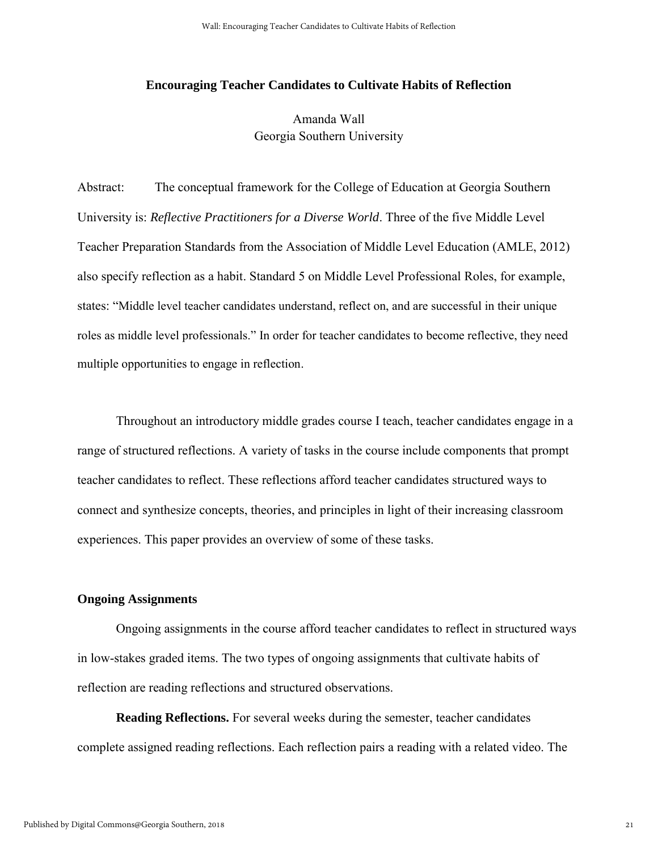#### **Encouraging Teacher Candidates to Cultivate Habits of Reflection**

Amanda Wall Georgia Southern University

Abstract: The conceptual framework for the College of Education at Georgia Southern University is: *Reflective Practitioners for a Diverse World*. Three of the five Middle Level Teacher Preparation Standards from the Association of Middle Level Education (AMLE, 2012) also specify reflection as a habit. Standard 5 on Middle Level Professional Roles, for example, states: "Middle level teacher candidates understand, reflect on, and are successful in their unique roles as middle level professionals." In order for teacher candidates to become reflective, they need multiple opportunities to engage in reflection.

Throughout an introductory middle grades course I teach, teacher candidates engage in a range of structured reflections. A variety of tasks in the course include components that prompt teacher candidates to reflect. These reflections afford teacher candidates structured ways to connect and synthesize concepts, theories, and principles in light of their increasing classroom experiences. This paper provides an overview of some of these tasks.

### **Ongoing Assignments**

Ongoing assignments in the course afford teacher candidates to reflect in structured ways in low-stakes graded items. The two types of ongoing assignments that cultivate habits of reflection are reading reflections and structured observations.

**Reading Reflections.** For several weeks during the semester, teacher candidates complete assigned reading reflections. Each reflection pairs a reading with a related video. The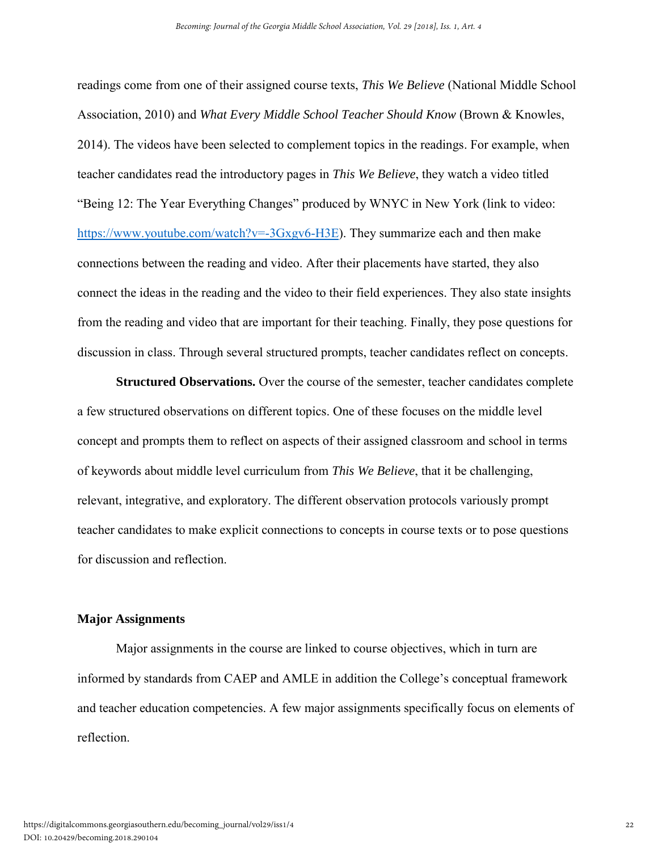readings come from one of their assigned course texts, *This We Believe* (National Middle School Association, 2010) and *What Every Middle School Teacher Should Know* (Brown & Knowles, 2014). The videos have been selected to complement topics in the readings. For example, when teacher candidates read the introductory pages in *This We Believe*, they watch a video titled "Being 12: The Year Everything Changes" produced by WNYC in New York (link to video: [https://www.youtube.com/watch?v=-3Gxgv6-H3E\)](https://www.youtube.com/watch?v=-3Gxgv6-H3E). They summarize each and then make connections between the reading and video. After their placements have started, they also connect the ideas in the reading and the video to their field experiences. They also state insights from the reading and video that are important for their teaching. Finally, they pose questions for discussion in class. Through several structured prompts, teacher candidates reflect on concepts.

**Structured Observations.** Over the course of the semester, teacher candidates complete a few structured observations on different topics. One of these focuses on the middle level concept and prompts them to reflect on aspects of their assigned classroom and school in terms of keywords about middle level curriculum from *This We Believe*, that it be challenging, relevant, integrative, and exploratory. The different observation protocols variously prompt teacher candidates to make explicit connections to concepts in course texts or to pose questions for discussion and reflection.

#### **Major Assignments**

Major assignments in the course are linked to course objectives, which in turn are informed by standards from CAEP and AMLE in addition the College's conceptual framework and teacher education competencies. A few major assignments specifically focus on elements of reflection.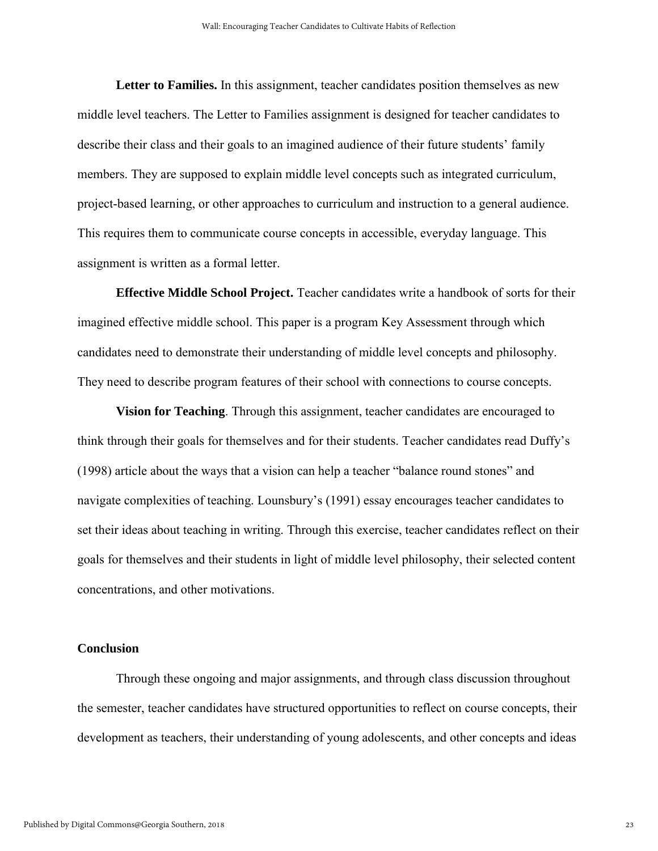**Letter to Families.** In this assignment, teacher candidates position themselves as new middle level teachers. The Letter to Families assignment is designed for teacher candidates to describe their class and their goals to an imagined audience of their future students' family members. They are supposed to explain middle level concepts such as integrated curriculum, project-based learning, or other approaches to curriculum and instruction to a general audience. This requires them to communicate course concepts in accessible, everyday language. This assignment is written as a formal letter.

**Effective Middle School Project.** Teacher candidates write a handbook of sorts for their imagined effective middle school. This paper is a program Key Assessment through which candidates need to demonstrate their understanding of middle level concepts and philosophy. They need to describe program features of their school with connections to course concepts.

**Vision for Teaching**. Through this assignment, teacher candidates are encouraged to think through their goals for themselves and for their students. Teacher candidates read Duffy's (1998) article about the ways that a vision can help a teacher "balance round stones" and navigate complexities of teaching. Lounsbury's (1991) essay encourages teacher candidates to set their ideas about teaching in writing. Through this exercise, teacher candidates reflect on their goals for themselves and their students in light of middle level philosophy, their selected content concentrations, and other motivations.

#### **Conclusion**

Through these ongoing and major assignments, and through class discussion throughout the semester, teacher candidates have structured opportunities to reflect on course concepts, their development as teachers, their understanding of young adolescents, and other concepts and ideas